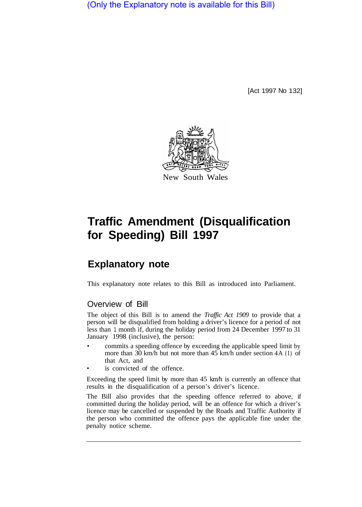(Only the Explanatory note is available for this Bill)

[Act 1997 No 132]



## **Traffic Amendment (Disqualification for Speeding) Bill 1997**

## **Explanatory note**

This explanatory note relates to this Bill as introduced into Parliament.

## Overview of Bill

The object of this Bill is to amend the *Traffic Act 1909* to provide that a person will be disqualified from holding a driver's licence for a period of not less than 1 month if, during the holiday period from 24 December 1997 to 31 January 1998 (inclusive), the person:

- commits a speeding offence by exceeding the applicable speed limit by more than 30 km/h but not more than 45 km/h under section 4A **(1)** of that Act, and
- is convicted of the offence.

Exceeding the speed limit by more than 45 km/h is currently an offence that results in the disqualification of a person's driver's licence.

The Bill also provides that the speeding offence referred to above, if committed during the holiday period, will be an offence for which a driver's licence may be cancelled or suspended by the Roads and Traffic Authority if the person who committed the offence pays the applicable fine under the penalty notice scheme.